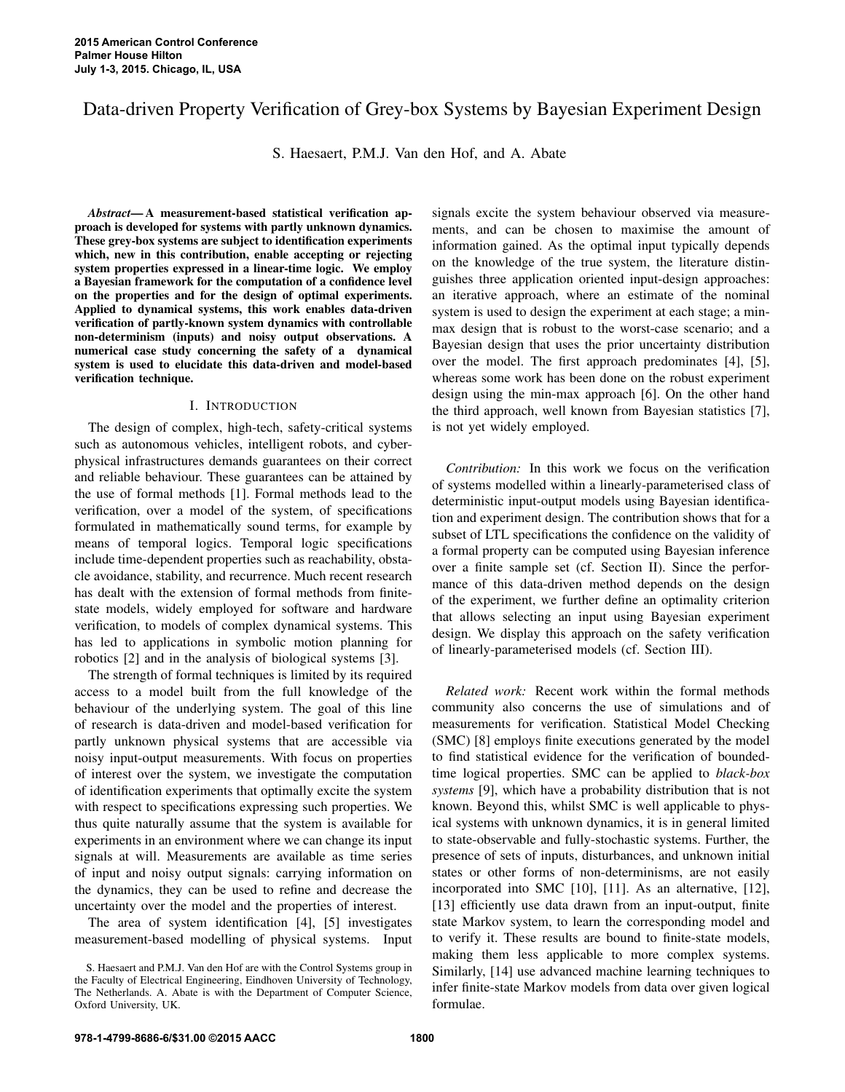# Data-driven Property Verification of Grey-box Systems by Bayesian Experiment Design

S. Haesaert, P.M.J. Van den Hof, and A. Abate

*Abstract*— A measurement-based statistical verification approach is developed for systems with partly unknown dynamics. These grey-box systems are subject to identification experiments which, new in this contribution, enable accepting or rejecting system properties expressed in a linear-time logic. We employ a Bayesian framework for the computation of a confidence level on the properties and for the design of optimal experiments. Applied to dynamical systems, this work enables data-driven verification of partly-known system dynamics with controllable non-determinism (inputs) and noisy output observations. A numerical case study concerning the safety of a dynamical system is used to elucidate this data-driven and model-based verification technique.

# I. INTRODUCTION

The design of complex, high-tech, safety-critical systems such as autonomous vehicles, intelligent robots, and cyberphysical infrastructures demands guarantees on their correct and reliable behaviour. These guarantees can be attained by the use of formal methods [1]. Formal methods lead to the verification, over a model of the system, of specifications formulated in mathematically sound terms, for example by means of temporal logics. Temporal logic specifications include time-dependent properties such as reachability, obstacle avoidance, stability, and recurrence. Much recent research has dealt with the extension of formal methods from finitestate models, widely employed for software and hardware verification, to models of complex dynamical systems. This has led to applications in symbolic motion planning for robotics [2] and in the analysis of biological systems [3].

The strength of formal techniques is limited by its required access to a model built from the full knowledge of the behaviour of the underlying system. The goal of this line of research is data-driven and model-based verification for partly unknown physical systems that are accessible via noisy input-output measurements. With focus on properties of interest over the system, we investigate the computation of identification experiments that optimally excite the system with respect to specifications expressing such properties. We thus quite naturally assume that the system is available for experiments in an environment where we can change its input signals at will. Measurements are available as time series of input and noisy output signals: carrying information on the dynamics, they can be used to refine and decrease the uncertainty over the model and the properties of interest.

The area of system identification [4], [5] investigates measurement-based modelling of physical systems. Input signals excite the system behaviour observed via measurements, and can be chosen to maximise the amount of information gained. As the optimal input typically depends on the knowledge of the true system, the literature distinguishes three application oriented input-design approaches: an iterative approach, where an estimate of the nominal system is used to design the experiment at each stage; a minmax design that is robust to the worst-case scenario; and a Bayesian design that uses the prior uncertainty distribution over the model. The first approach predominates [4], [5], whereas some work has been done on the robust experiment design using the min-max approach [6]. On the other hand the third approach, well known from Bayesian statistics [7], is not yet widely employed.

*Contribution:* In this work we focus on the verification of systems modelled within a linearly-parameterised class of deterministic input-output models using Bayesian identification and experiment design. The contribution shows that for a subset of LTL specifications the confidence on the validity of a formal property can be computed using Bayesian inference over a finite sample set (cf. Section II). Since the performance of this data-driven method depends on the design of the experiment, we further define an optimality criterion that allows selecting an input using Bayesian experiment design. We display this approach on the safety verification of linearly-parameterised models (cf. Section III).

*Related work:* Recent work within the formal methods community also concerns the use of simulations and of measurements for verification. Statistical Model Checking (SMC) [8] employs finite executions generated by the model to find statistical evidence for the verification of boundedtime logical properties. SMC can be applied to *black-box systems* [9], which have a probability distribution that is not known. Beyond this, whilst SMC is well applicable to physical systems with unknown dynamics, it is in general limited to state-observable and fully-stochastic systems. Further, the presence of sets of inputs, disturbances, and unknown initial states or other forms of non-determinisms, are not easily incorporated into SMC [10], [11]. As an alternative, [12], [13] efficiently use data drawn from an input-output, finite state Markov system, to learn the corresponding model and to verify it. These results are bound to finite-state models, making them less applicable to more complex systems. Similarly, [14] use advanced machine learning techniques to infer finite-state Markov models from data over given logical formulae.

S. Haesaert and P.M.J. Van den Hof are with the Control Systems group in the Faculty of Electrical Engineering, Eindhoven University of Technology, The Netherlands. A. Abate is with the Department of Computer Science, Oxford University, UK.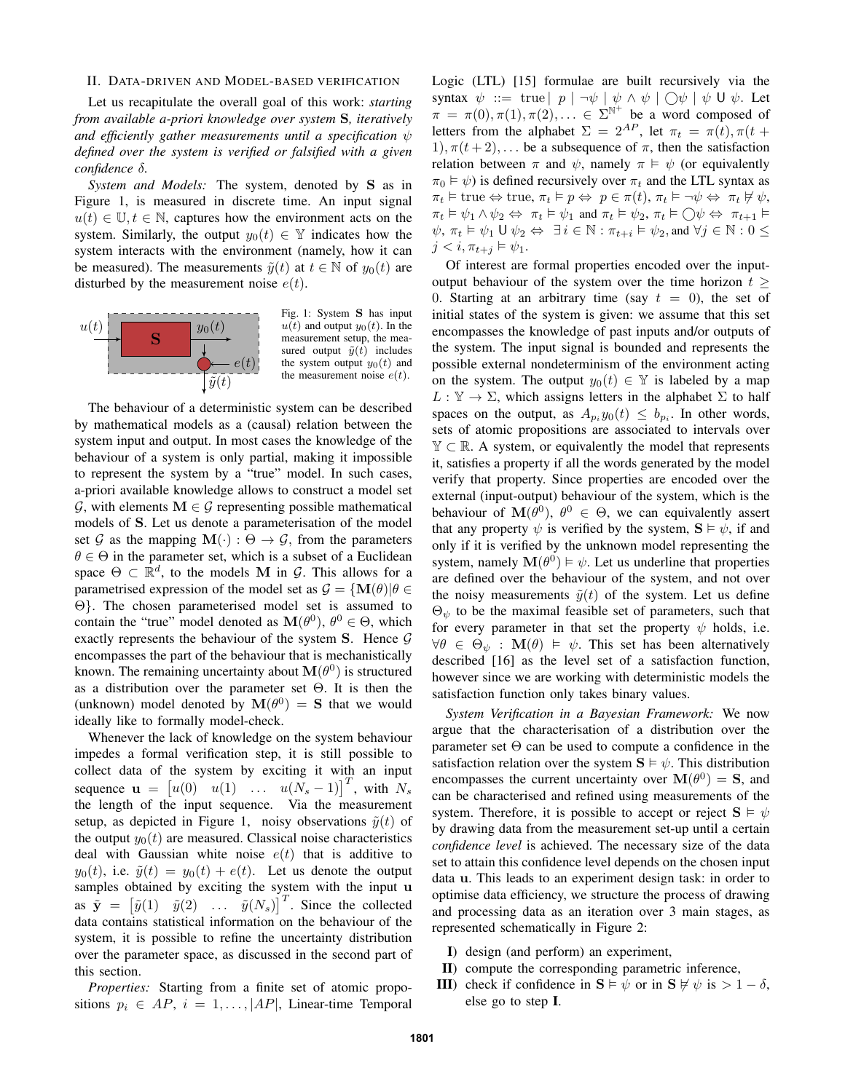### II. DATA-DRIVEN AND MODEL-BASED VERIFICATION

Let us recapitulate the overall goal of this work: *starting from available a-priori knowledge over system* S*, iteratively and efficiently gather measurements until a specification* ψ *defined over the system is verified or falsified with a given confidence* δ*.*

*System and Models:* The system, denoted by S as in Figure 1, is measured in discrete time. An input signal  $u(t) \in \mathbb{U}, t \in \mathbb{N}$ , captures how the environment acts on the system. Similarly, the output  $y_0(t) \in \mathbb{Y}$  indicates how the system interacts with the environment (namely, how it can be measured). The measurements  $\tilde{y}(t)$  at  $t \in \mathbb{N}$  of  $y_0(t)$  are disturbed by the measurement noise  $e(t)$ .



Fig. 1: System S has input  $u(t)$  and output  $y_0(t)$ . In the measurement setup, the measured output  $\tilde{y}(t)$  includes the system output  $y_0(t)$  and the measurement noise  $e(t)$ .

The behaviour of a deterministic system can be described by mathematical models as a (causal) relation between the system input and output. In most cases the knowledge of the behaviour of a system is only partial, making it impossible to represent the system by a "true" model. In such cases, a-priori available knowledge allows to construct a model set  $\mathcal{G}$ , with elements  $\mathbf{M} \in \mathcal{G}$  representing possible mathematical models of S. Let us denote a parameterisation of the model set G as the mapping  $M(\cdot): \Theta \to \mathcal{G}$ , from the parameters  $\theta \in \Theta$  in the parameter set, which is a subset of a Euclidean space  $\Theta \subset \mathbb{R}^d$ , to the models M in G. This allows for a parametrised expression of the model set as  $\mathcal{G} = {\bf M}(\theta)|\theta \in$ Θ}. The chosen parameterised model set is assumed to contain the "true" model denoted as  $\mathbf{M}(\theta^0)$ ,  $\theta^0 \in \Theta$ , which exactly represents the behaviour of the system S. Hence  $G$ encompasses the part of the behaviour that is mechanistically known. The remaining uncertainty about  $\mathbf{M}(\theta^0)$  is structured as a distribution over the parameter set Θ. It is then the (unknown) model denoted by  $\mathbf{M}(\theta^0) = \mathbf{S}$  that we would ideally like to formally model-check.

Whenever the lack of knowledge on the system behaviour impedes a formal verification step, it is still possible to collect data of the system by exciting it with an input sequence  $\mathbf{u} = \begin{bmatrix} u(0) & u(1) & \dots & u(N_s - 1) \end{bmatrix}^T$ , with  $N_s$ the length of the input sequence. Via the measurement setup, as depicted in Figure 1, noisy observations  $\tilde{y}(t)$  of the output  $y_0(t)$  are measured. Classical noise characteristics deal with Gaussian white noise  $e(t)$  that is additive to  $y_0(t)$ , i.e.  $\tilde{y}(t) = y_0(t) + e(t)$ . Let us denote the output samples obtained by exciting the system with the input u as  $\tilde{y} = [\tilde{y}(1) \quad \tilde{y}(2) \quad \dots \quad \tilde{y}(N_s)]^T$ . Since the collected data contains statistical information on the behaviour of the system, it is possible to refine the uncertainty distribution over the parameter space, as discussed in the second part of this section.

*Properties:* Starting from a finite set of atomic propositions  $p_i \in AP$ ,  $i = 1, \ldots, |AP|$ , Linear-time Temporal Logic (LTL) [15] formulae are built recursively via the syntax  $\psi ::= \text{true} | p | \neg \psi | \psi \wedge \psi | \bigcirc \psi | \psi \cup \psi$ . Let  $\pi = \pi(0), \pi(1), \pi(2), \ldots \in \Sigma^{\mathbb{N}^+}$  be a word composed of letters from the alphabet  $\Sigma = 2^{AP}$ , let  $\pi_t = \pi(t), \pi(t +$ 1),  $\pi(t+2)$ , ... be a subsequence of  $\pi$ , then the satisfaction relation between  $\pi$  and  $\psi$ , namely  $\pi \models \psi$  (or equivalently  $\pi_0 \models \psi$ ) is defined recursively over  $\pi_t$  and the LTL syntax as  $\pi_t \models \text{true} \Leftrightarrow \text{true}, \pi_t \models p \Leftrightarrow p \in \pi(t), \pi_t \models \neg \psi \Leftrightarrow \pi_t \not\models \psi,$  $\pi_t \models \psi_1 \land \psi_2 \Leftrightarrow \pi_t \models \psi_1 \text{ and } \pi_t \models \psi_2, \pi_t \models \bigcirc \psi \Leftrightarrow \pi_{t+1} \models$  $\psi, \pi_t \models \psi_1 \cup \psi_2 \Leftrightarrow \exists i \in \mathbb{N} : \pi_{t+i} \models \psi_2$ , and  $\forall j \in \mathbb{N} : 0 \leq$  $j < i$ ,  $\pi_{t+j} \models \psi_1$ .

Of interest are formal properties encoded over the inputoutput behaviour of the system over the time horizon  $t >$ 0. Starting at an arbitrary time (say  $t = 0$ ), the set of initial states of the system is given: we assume that this set encompasses the knowledge of past inputs and/or outputs of the system. The input signal is bounded and represents the possible external nondeterminism of the environment acting on the system. The output  $y_0(t) \in Y$  is labeled by a map  $L : \mathbb{Y} \to \Sigma$ , which assigns letters in the alphabet  $\Sigma$  to half spaces on the output, as  $A_{p_i}y_0(t) \leq b_{p_i}$ . In other words, sets of atomic propositions are associated to intervals over  $\mathbb{Y} \subset \mathbb{R}$ . A system, or equivalently the model that represents it, satisfies a property if all the words generated by the model verify that property. Since properties are encoded over the external (input-output) behaviour of the system, which is the behaviour of  $\mathbf{M}(\theta^0)$ ,  $\theta^0 \in \Theta$ , we can equivalently assert that any property  $\psi$  is verified by the system,  $S \vDash \psi$ , if and only if it is verified by the unknown model representing the system, namely  $\mathbf{M}(\theta^0) \models \psi$ . Let us underline that properties are defined over the behaviour of the system, and not over the noisy measurements  $\tilde{y}(t)$  of the system. Let us define  $\Theta_{\psi}$  to be the maximal feasible set of parameters, such that for every parameter in that set the property  $\psi$  holds, i.e.  $\forall \theta \in \Theta_{\psi} : \mathbf{M}(\theta) \models \psi$ . This set has been alternatively described [16] as the level set of a satisfaction function, however since we are working with deterministic models the satisfaction function only takes binary values.

*System Verification in a Bayesian Framework:* We now argue that the characterisation of a distribution over the parameter set  $\Theta$  can be used to compute a confidence in the satisfaction relation over the system  $S \vDash \psi$ . This distribution encompasses the current uncertainty over  $\mathbf{M}(\theta^0) = \mathbf{S}$ , and can be characterised and refined using measurements of the system. Therefore, it is possible to accept or reject  $S \vDash \psi$ by drawing data from the measurement set-up until a certain *confidence level* is achieved. The necessary size of the data set to attain this confidence level depends on the chosen input data u. This leads to an experiment design task: in order to optimise data efficiency, we structure the process of drawing and processing data as an iteration over 3 main stages, as represented schematically in Figure 2:

- I) design (and perform) an experiment,
- II) compute the corresponding parametric inference,
- III) check if confidence in  $S \models \psi$  or in  $S \not\models \psi$  is  $> 1 \delta$ , else go to step I.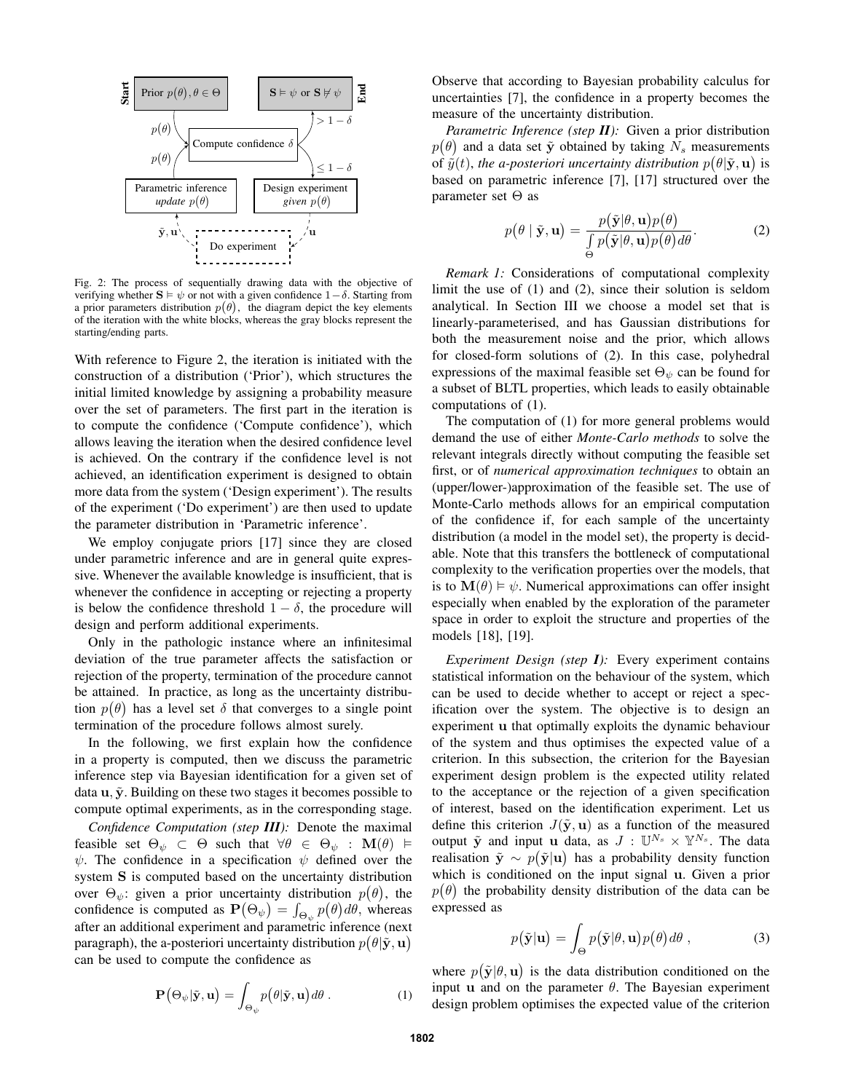

Fig. 2: The process of sequentially drawing data with the objective of verifying whether  $\mathbf{S} \models \psi$  or not with a given confidence  $1-\delta$ . Starting from a prior parameters distribution  $p(\theta)$ , the diagram depict the key elements of the iteration with the white blocks, whereas the gray blocks represent the starting/ending parts.

With reference to Figure 2, the iteration is initiated with the construction of a distribution ('Prior'), which structures the initial limited knowledge by assigning a probability measure over the set of parameters. The first part in the iteration is to compute the confidence ('Compute confidence'), which allows leaving the iteration when the desired confidence level is achieved. On the contrary if the confidence level is not achieved, an identification experiment is designed to obtain more data from the system ('Design experiment'). The results of the experiment ('Do experiment') are then used to update the parameter distribution in 'Parametric inference'.

We employ conjugate priors [17] since they are closed under parametric inference and are in general quite expressive. Whenever the available knowledge is insufficient, that is whenever the confidence in accepting or rejecting a property is below the confidence threshold  $1 - \delta$ , the procedure will design and perform additional experiments.

Only in the pathologic instance where an infinitesimal deviation of the true parameter affects the satisfaction or rejection of the property, termination of the procedure cannot be attained. In practice, as long as the uncertainty distribution  $p(\theta)$  has a level set  $\delta$  that converges to a single point termination of the procedure follows almost surely.

In the following, we first explain how the confidence in a property is computed, then we discuss the parametric inference step via Bayesian identification for a given set of data  $\mathbf{u}, \tilde{\mathbf{y}}$ . Building on these two stages it becomes possible to compute optimal experiments, as in the corresponding stage.

*Confidence Computation (step III):* Denote the maximal feasible set  $\Theta_{\psi} \subset \Theta$  such that  $\forall \theta \in \Theta_{\psi} : M(\theta) \models$  $\psi$ . The confidence in a specification  $\psi$  defined over the system S is computed based on the uncertainty distribution over  $\Theta_{\psi}$ : given a prior uncertainty distribution  $p(\theta)$ , the confidence is computed as  $\mathbf{P}(\Theta_{\psi}) = \int_{\Theta_{\psi}} p(\theta) d\theta$ , whereas after an additional experiment and parametric inference (next paragraph), the a-posteriori uncertainty distribution  $p(\theta|\tilde{\mathbf{y}}, \mathbf{u})$ can be used to compute the confidence as

$$
\mathbf{P}\big(\Theta_{\psi}|\tilde{\mathbf{y}},\mathbf{u}\big) = \int_{\Theta_{\psi}} p\big(\theta|\tilde{\mathbf{y}},\mathbf{u}\big)d\theta.
$$
 (1)

Observe that according to Bayesian probability calculus for uncertainties [7], the confidence in a property becomes the measure of the uncertainty distribution.

*Parametric Inference (step II):* Given a prior distribution  $p(\theta)$  and a data set  $\tilde{\mathbf{y}}$  obtained by taking  $N_s$  measurements of  $\tilde{y}(t)$ , the a-posteriori uncertainty distribution  $p(\theta|\tilde{\mathbf{y}}, \mathbf{u})$  is based on parametric inference [7], [17] structured over the parameter set  $\Theta$  as

$$
p(\theta | \tilde{\mathbf{y}}, \mathbf{u}) = \frac{p(\tilde{\mathbf{y}}|\theta, \mathbf{u})p(\theta)}{\int_{\Theta} p(\tilde{\mathbf{y}}|\theta, \mathbf{u})p(\theta) d\theta}.
$$
 (2)

*Remark 1:* Considerations of computational complexity limit the use of (1) and (2), since their solution is seldom analytical. In Section III we choose a model set that is linearly-parameterised, and has Gaussian distributions for both the measurement noise and the prior, which allows for closed-form solutions of (2). In this case, polyhedral expressions of the maximal feasible set  $\Theta_{\psi}$  can be found for a subset of BLTL properties, which leads to easily obtainable computations of (1).

The computation of (1) for more general problems would demand the use of either *Monte-Carlo methods* to solve the relevant integrals directly without computing the feasible set first, or of *numerical approximation techniques* to obtain an (upper/lower-)approximation of the feasible set. The use of Monte-Carlo methods allows for an empirical computation of the confidence if, for each sample of the uncertainty distribution (a model in the model set), the property is decidable. Note that this transfers the bottleneck of computational complexity to the verification properties over the models, that is to  $\mathbf{M}(\theta) \models \psi$ . Numerical approximations can offer insight especially when enabled by the exploration of the parameter space in order to exploit the structure and properties of the models [18], [19].

*Experiment Design (step I):* Every experiment contains statistical information on the behaviour of the system, which can be used to decide whether to accept or reject a specification over the system. The objective is to design an experiment u that optimally exploits the dynamic behaviour of the system and thus optimises the expected value of a criterion. In this subsection, the criterion for the Bayesian experiment design problem is the expected utility related to the acceptance or the rejection of a given specification of interest, based on the identification experiment. Let us define this criterion  $J(\tilde{y}, u)$  as a function of the measured output  $\tilde{y}$  and input u data, as  $J : \mathbb{U}^{N_s} \times \mathbb{Y}^{N_s}$ . The data realisation  $\tilde{\mathbf{y}} \sim p(\tilde{\mathbf{y}}|\mathbf{u})$  has a probability density function which is conditioned on the input signal u. Given a prior  $p(\theta)$  the probability density distribution of the data can be expressed as

$$
p(\tilde{\mathbf{y}}|\mathbf{u}) = \int_{\Theta} p(\tilde{\mathbf{y}}|\theta, \mathbf{u}) p(\theta) d\theta, \qquad (3)
$$

where  $p(\tilde{\mathbf{y}}|\theta, \mathbf{u})$  is the data distribution conditioned on the input u and on the parameter  $\theta$ . The Bayesian experiment design problem optimises the expected value of the criterion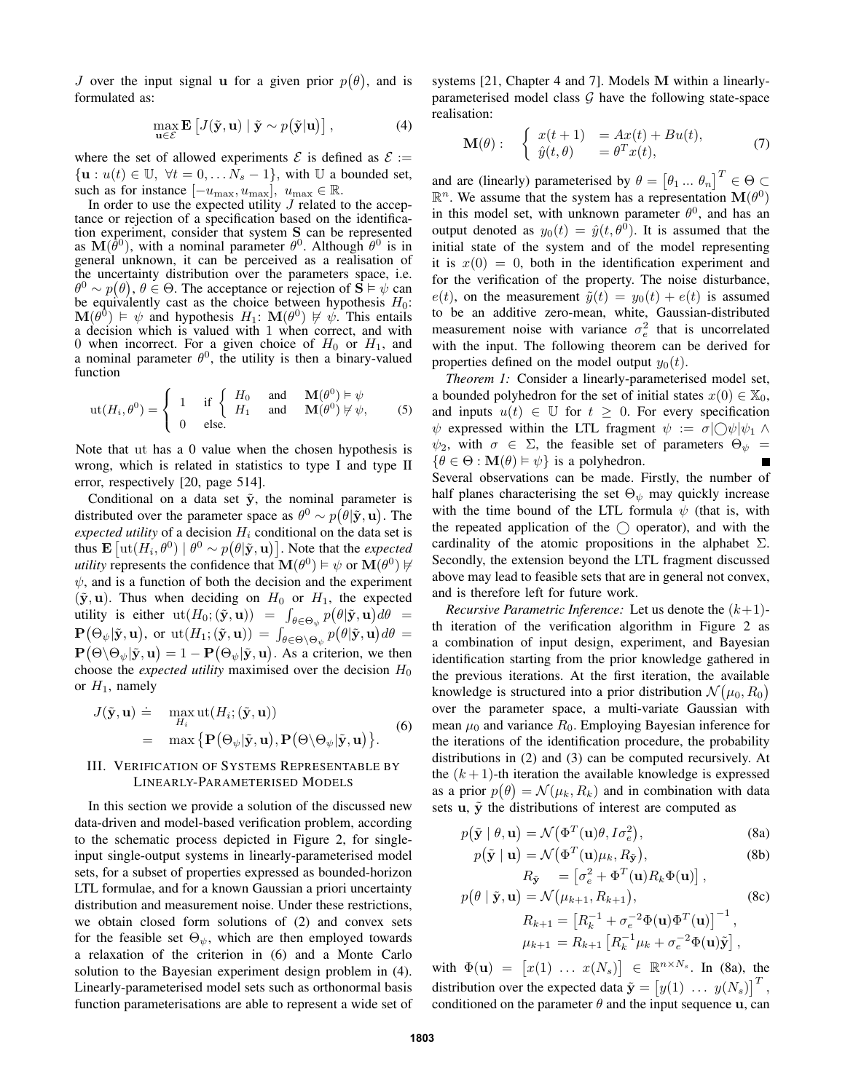J over the input signal **u** for a given prior  $p(\theta)$ , and is formulated as:

$$
\max_{\mathbf{u}\in\mathcal{E}} \mathbf{E}\left[J(\tilde{\mathbf{y}},\mathbf{u}) \mid \tilde{\mathbf{y}} \sim p(\tilde{\mathbf{y}}|\mathbf{u})\right],\tag{4}
$$

where the set of allowed experiments  $\mathcal E$  is defined as  $\mathcal E :=$  $\{u: u(t) \in \mathbb{U}, \forall t = 0, \ldots N_s - 1\}$ , with  $\mathbb{U}$  a bounded set, such as for instance  $[-u_{\text{max}}, u_{\text{max}}], u_{\text{max}} \in \mathbb{R}$ .

In order to use the expected utility  $J$  related to the acceptance or rejection of a specification based on the identification experiment, consider that system S can be represented as  $\mathbf{M}(\dot{\theta}^0)$ , with a nominal parameter  $\theta^0$ . Although  $\theta^0$  is in general unknown, it can be perceived as a realisation of the uncertainty distribution over the parameters space, i.e.  $\theta^0 \sim p(\theta), \theta \in \Theta$ . The acceptance or rejection of  $\mathbf{S} \models \psi$  can be equivalently cast as the choice between hypothesis  $H_0$ :  $\mathbf{M}(\theta^0) \models \psi$  and hypothesis  $H_1$ :  $\mathbf{M}(\theta^0) \not\vdash \psi$ . This entails a decision which is valued with 1 when correct, and with 0 when incorrect. For a given choice of  $H_0$  or  $H_1$ , and a nominal parameter  $\theta^0$ , the utility is then a binary-valued function

$$
ut(H_i, \theta^0) = \begin{cases} 1 & \text{if } \begin{cases} H_0 & \text{and} \quad \mathbf{M}(\theta^0) \models \psi \\ H_1 & \text{and} \quad \mathbf{M}(\theta^0) \not\vdash \psi, \end{cases} \\ 0 & \text{else.} \end{cases}
$$
 (5)

Note that ut has a 0 value when the chosen hypothesis is wrong, which is related in statistics to type I and type II error, respectively [20, page 514].

Conditional on a data set  $\tilde{y}$ , the nominal parameter is distributed over the parameter space as  $\theta^0 \sim p(\theta|\tilde{\mathbf{y}}, \mathbf{u})$ . The *expected utility* of a decision  $H_i$  conditional on the data set is thus  $\mathbf{E} \left[ \text{ut}(H_i, \theta^0) \mid \theta^0 \sim p(\theta | \tilde{\mathbf{y}}, \mathbf{u}) \right]$ . Note that the *expected utility* represents the confidence that  $\mathbf{M}(\theta^0) \models \psi$  or  $\mathbf{M}(\theta^0) \not\models \psi$  $\psi$ , and is a function of both the decision and the experiment  $(\tilde{y}, \mathbf{u})$ . Thus when deciding on  $H_0$  or  $H_1$ , the expected utility is either  $\mathrm{ut}(H_0; (\tilde{\mathbf{y}}, \mathbf{u})) = \int_{\theta \in \Theta_{\psi}} p(\theta | \tilde{\mathbf{y}}, \mathbf{u}) d\theta =$  $\mathbf{P}\big(\Theta_\psi \vert \tilde{\mathbf{y}}, \mathbf{u}\big), \text{ or } \mathrm{ut}(H_1; (\tilde{\mathbf{y}}, \mathbf{u})) \,=\, \int_{\theta \in \Theta \backslash \Theta_\psi} p\big(\theta \vert \tilde{\mathbf{y}}, \mathbf{u}\big) d\theta\,=$  $\mathbf{P}(\Theta \setminus \Theta_{\psi} | \tilde{\mathbf{y}}, \mathbf{u}) = 1 - \mathbf{P}(\Theta_{\psi} | \tilde{\mathbf{y}}, \mathbf{u})$ . As a criterion, we then choose the *expected utility* maximised over the decision  $H_0$ or  $H_1$ , namely

$$
J(\tilde{\mathbf{y}}, \mathbf{u}) \doteq \max_{H_i} \text{ut}(H_i; (\tilde{\mathbf{y}}, \mathbf{u}))
$$
  
= 
$$
\max \{ \mathbf{P}(\Theta_{\psi} | \tilde{\mathbf{y}}, \mathbf{u}), \mathbf{P}(\Theta \setminus \Theta_{\psi} | \tilde{\mathbf{y}}, \mathbf{u}) \}.
$$
 (6)

# III. VERIFICATION OF SYSTEMS REPRESENTABLE BY LINEARLY-PARAMETERISED MODELS

In this section we provide a solution of the discussed new data-driven and model-based verification problem, according to the schematic process depicted in Figure 2, for singleinput single-output systems in linearly-parameterised model sets, for a subset of properties expressed as bounded-horizon LTL formulae, and for a known Gaussian a priori uncertainty distribution and measurement noise. Under these restrictions, we obtain closed form solutions of (2) and convex sets for the feasible set  $\Theta_{\psi}$ , which are then employed towards a relaxation of the criterion in (6) and a Monte Carlo solution to the Bayesian experiment design problem in (4). Linearly-parameterised model sets such as orthonormal basis function parameterisations are able to represent a wide set of systems [21, Chapter 4 and 7]. Models M within a linearlyparameterised model class  $G$  have the following state-space realisation:

$$
\mathbf{M}(\theta): \begin{cases} x(t+1) = Ax(t) + Bu(t), \\ \hat{y}(t,\theta) = \theta^T x(t), \end{cases} (7)
$$

and are (linearly) parameterised by  $\theta = [\theta_1 \dots \theta_n]^T \in \Theta \subset$  $\mathbb{R}^n$ . We assume that the system has a representation  $\mathbf{M}(\theta^0)$ in this model set, with unknown parameter  $\theta^0$ , and has an output denoted as  $y_0(t) = \hat{y}(t, \theta^0)$ . It is assumed that the initial state of the system and of the model representing it is  $x(0) = 0$ , both in the identification experiment and for the verification of the property. The noise disturbance,  $e(t)$ , on the measurement  $\tilde{y}(t) = y_0(t) + e(t)$  is assumed to be an additive zero-mean, white, Gaussian-distributed measurement noise with variance  $\sigma_e^2$  that is uncorrelated with the input. The following theorem can be derived for properties defined on the model output  $y_0(t)$ .

*Theorem 1:* Consider a linearly-parameterised model set, a bounded polyhedron for the set of initial states  $x(0) \in \mathbb{X}_0$ , and inputs  $u(t) \in \mathbb{U}$  for  $t \geq 0$ . For every specification  $\psi$  expressed within the LTL fragment  $\psi := \sigma | \bigcirc \psi | \psi_1 \wedge \psi_2$  $\psi_2$ , with  $\sigma \in \Sigma$ , the feasible set of parameters  $\Theta_{\psi}$  =  $\{\theta \in \Theta : \mathbf{M}(\theta) \models \psi\}$  is a polyhedron.

Several observations can be made. Firstly, the number of half planes characterising the set  $\Theta_{\psi}$  may quickly increase with the time bound of the LTL formula  $\psi$  (that is, with the repeated application of the  $\bigcap$  operator), and with the cardinality of the atomic propositions in the alphabet  $\Sigma$ . Secondly, the extension beyond the LTL fragment discussed above may lead to feasible sets that are in general not convex, and is therefore left for future work.

*Recursive Parametric Inference:* Let us denote the  $(k+1)$ th iteration of the verification algorithm in Figure 2 as a combination of input design, experiment, and Bayesian identification starting from the prior knowledge gathered in the previous iterations. At the first iteration, the available knowledge is structured into a prior distribution  $\mathcal{N}(\mu_0, R_0)$ over the parameter space, a multi-variate Gaussian with mean  $\mu_0$  and variance  $R_0$ . Employing Bayesian inference for the iterations of the identification procedure, the probability distributions in (2) and (3) can be computed recursively. At the  $(k+1)$ -th iteration the available knowledge is expressed as a prior  $p(\theta) = \mathcal{N}(\mu_k, R_k)$  and in combination with data sets  $u, \tilde{y}$  the distributions of interest are computed as

$$
p(\tilde{\mathbf{y}} \mid \theta, \mathbf{u}) = \mathcal{N}(\Phi^T(\mathbf{u})\theta, I\sigma_e^2),
$$
 (8a)

$$
p(\tilde{\mathbf{y}} \mid \mathbf{u}) = \mathcal{N}(\Phi^T(\mathbf{u})\mu_k, R_{\tilde{\mathbf{y}}}),
$$
 (8b)

$$
R_{\tilde{\mathbf{y}}} = \left[\sigma_e^2 + \Phi^T(\mathbf{u})R_k\Phi(\mathbf{u})\right],
$$
  
\n
$$
p(\theta \mid \tilde{\mathbf{y}}, \mathbf{u}) = \mathcal{N}(\mu_{k+1}, R_{k+1}),
$$
  
\n
$$
R_{k+1} = \left[R_k^{-1} + \sigma_e^{-2}\Phi(\mathbf{u})\Phi^T(\mathbf{u})\right]^{-1},
$$
  
\n
$$
\mu_{k+1} = R_{k+1}\left[R_k^{-1}\mu_k + \sigma_e^{-2}\Phi(\mathbf{u})\tilde{\mathbf{y}}\right],
$$
\n(8c)

with  $\Phi(\mathbf{u}) = [x(1) \dots x(N_s)] \in \mathbb{R}^{n \times N_s}$ . In (8a), the distribution over the expected data  $\tilde{\mathbf{y}} = [y(1) \dots y(N_s)]^T$ , conditioned on the parameter  $\theta$  and the input sequence u, can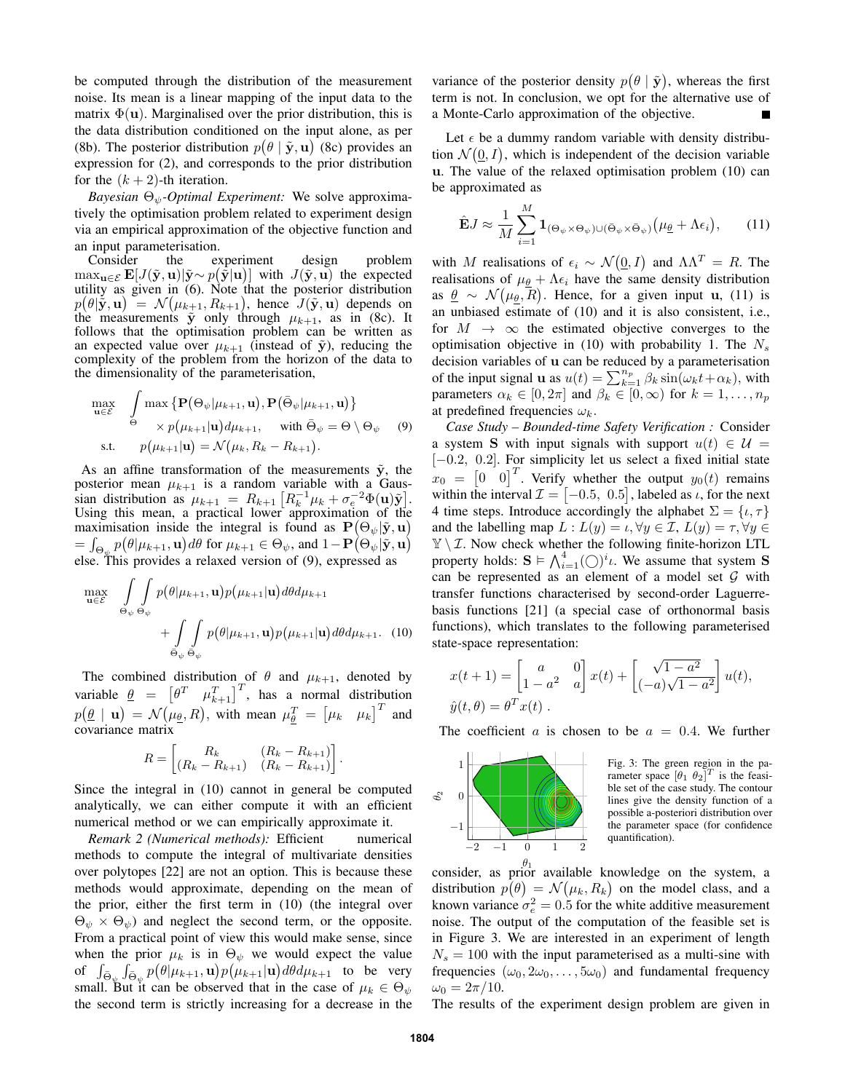be computed through the distribution of the measurement noise. Its mean is a linear mapping of the input data to the matrix  $\Phi(\mathbf{u})$ . Marginalised over the prior distribution, this is the data distribution conditioned on the input alone, as per (8b). The posterior distribution  $p(\theta | \tilde{\mathbf{y}}, \mathbf{u})$  (8c) provides an expression for (2), and corresponds to the prior distribution for the  $(k + 2)$ -th iteration.

*Bayesian* Θψ*-Optimal Experiment:* We solve approximatively the optimisation problem related to experiment design via an empirical approximation of the objective function and an input parameterisation.

Consider the experiment design problem  $\max_{\mathbf{u}\in\mathcal{E}} \mathbf{E}[J(\tilde{\mathbf{y}},\mathbf{u})|\tilde{\mathbf{y}}\sim p(\tilde{\mathbf{y}}|\mathbf{u})]$  with  $J(\tilde{\mathbf{y}},\mathbf{u})$  the expected utility as given in (6). Note that the posterior distribution  $p(\theta | \tilde{\mathbf{y}}, \mathbf{u}) = \mathcal{N}(\mu_{k+1}, R_{k+1}),$  hence  $J(\tilde{\mathbf{y}}, \mathbf{u})$  depends on the measurements  $\tilde{y}$  only through  $\mu_{k+1}$ , as in (8c). It follows that the optimisation problem can be written as an expected value over  $\mu_{k+1}$  (instead of  $\tilde{y}$ ), reducing the complexity of the problem from the horizon of the data to the dimensionality of the parameterisation,

$$
\max_{\mathbf{u}\in\mathcal{E}} \quad \int \max \left\{ \mathbf{P}(\Theta_{\psi}|\mu_{k+1}, \mathbf{u}), \mathbf{P}(\bar{\Theta}_{\psi}|\mu_{k+1}, \mathbf{u}) \right\} \n\approx p(\mu_{k+1}|\mathbf{u}) d\mu_{k+1}, \quad \text{with } \bar{\Theta}_{\psi} = \Theta \setminus \Theta_{\psi} \quad (9) \n\text{s.t.} \quad p(\mu_{k+1}|\mathbf{u}) = \mathcal{N}(\mu_k, R_k - R_{k+1}).
$$

As an affine transformation of the measurements  $\tilde{y}$ , the posterior mean  $\mu_{k+1}$  is a random variable with a Gaussian distribution as  $\mu_{k+1} = R_{k+1} \left[ R_k^{-1} \mu_k + \sigma_e^{-2} \Phi(\mathbf{u}) \tilde{\mathbf{y}} \right].$ Using this mean, a practical lower approximation of the maximisation inside the integral is found as  $P(\Theta_{\psi}|\tilde{\mathbf{y}}, \mathbf{u})$  $=\int_{\Theta_\psi} p(\theta|\mu_{k+1}, \mathbf{u}) d\theta$  for  $\mu_{k+1} \in \Theta_\psi$ , and  $1-\mathbf{P}\big(\Theta_\psi | \tilde{\mathbf{y}}, \mathbf{u}\big)$ else. This provides a relaxed version of (9), expressed as

$$
\max_{\mathbf{u}\in\mathcal{E}} \int_{\Theta_{\psi}} \int_{\Theta_{\psi}} p(\theta|\mu_{k+1}, \mathbf{u}) p(\mu_{k+1}|\mathbf{u}) d\theta d\mu_{k+1} + \int_{\Theta_{\psi}} \int_{\Theta_{\psi}} p(\theta|\mu_{k+1}, \mathbf{u}) p(\mu_{k+1}|\mathbf{u}) d\theta d\mu_{k+1}.
$$
 (10)

The combined distribution of  $\theta$  and  $\mu_{k+1}$ , denoted by variable  $\theta = \begin{bmatrix} \theta^T & \mu_{k+1}^T \end{bmatrix}^T$ , has a normal distribution  $p(\underline{\theta} \mid \mathbf{u}) = \mathcal{N}(\mu_{\underline{\theta}}, R)$ , with mean  $\mu_{\underline{\theta}}^T = [\mu_k \quad \mu_k]^T$  and covariance matrix

$$
R = \begin{bmatrix} R_k & (R_k - R_{k+1}) \\ (R_k - R_{k+1}) & (R_k - R_{k+1}) \end{bmatrix}.
$$

Since the integral in (10) cannot in general be computed analytically, we can either compute it with an efficient numerical method or we can empirically approximate it.

*Remark 2 (Numerical methods):* Efficient numerical methods to compute the integral of multivariate densities over polytopes [22] are not an option. This is because these methods would approximate, depending on the mean of the prior, either the first term in (10) (the integral over  $\Theta_{\psi} \times \Theta_{\psi}$  and neglect the second term, or the opposite. From a practical point of view this would make sense, since when the prior  $\mu_k$  is in  $\Theta_{\psi}$  we would expect the value of  $\int_{\bar{\Theta}_{\psi}} \int_{\bar{\Theta}_{\psi}} p(\theta | \mu_{k+1}, \mathbf{u}) p(\mu_{k+1} | \mathbf{u}) d\theta d\mu_{k+1}$  to be very small. But it can be observed that in the case of  $\mu_k \in \Theta_{\psi}$ the second term is strictly increasing for a decrease in the

variance of the posterior density  $p(\theta | \tilde{\mathbf{y}})$ , whereas the first term is not. In conclusion, we opt for the alternative use of a Monte-Carlo approximation of the objective.

Let  $\epsilon$  be a dummy random variable with density distribution  $\mathcal{N}(\underline{0},I)$ , which is independent of the decision variable u. The value of the relaxed optimisation problem (10) can be approximated as

$$
\hat{\mathbf{E}}J \approx \frac{1}{M} \sum_{i=1}^{M} \mathbf{1}_{(\Theta_{\psi} \times \Theta_{\psi}) \cup (\bar{\Theta}_{\psi} \times \bar{\Theta}_{\psi})} (\mu_{\underline{\theta}} + \Lambda \epsilon_{i}), \qquad (11)
$$

with M realisations of  $\epsilon_i \sim \mathcal{N}(\underline{0}, I)$  and  $\Lambda \Lambda^T = R$ . The realisations of  $\mu_{\theta} + \Lambda \epsilon_i$  have the same density distribution as  $\underline{\theta} \sim \mathcal{N}(\mu_{\underline{\theta}}, R)$ . Hence, for a given input **u**, (11) is an unbiased estimate of (10) and it is also consistent, i.e., for  $M \to \infty$  the estimated objective converges to the optimisation objective in (10) with probability 1. The  $N_s$ decision variables of u can be reduced by a parameterisation of the input signal **u** as  $u(t) = \sum_{k=1}^{n_p} \beta_k \sin(\omega_k t + \alpha_k)$ , with parameters  $\alpha_k \in [0, 2\pi]$  and  $\beta_k \in [0, \infty)$  for  $k = 1, \ldots, n_p$ at predefined frequencies  $\omega_k$ .

*Case Study – Bounded-time Safety Verification :* Consider a system S with input signals with support  $u(t) \in \mathcal{U}$ [−0.2, 0.2]. For simplicity let us select a fixed initial state  $x_0 = \begin{bmatrix} 0 & 0 \end{bmatrix}^T$ . Verify whether the output  $y_0(t)$  remains within the interval  $\mathcal{I} = \begin{bmatrix} -0.5, 0.5 \end{bmatrix}$ , labeled as  $\iota$ , for the next 4 time steps. Introduce accordingly the alphabet  $\Sigma = \{i, \tau\}$ and the labelling map  $L : L(y) = \iota, \forall y \in \mathcal{I}, L(y) = \tau, \forall y \in \mathcal{I}$  $\mathbb{Y} \setminus \mathcal{I}$ . Now check whether the following finite-horizon LTL property holds:  $S \models \bigwedge_{i=1}^4 (\bigcirc)^i \iota$ . We assume that system S can be represented as an element of a model set  $G$  with transfer functions characterised by second-order Laguerrebasis functions [21] (a special case of orthonormal basis functions), which translates to the following parameterised state-space representation:

$$
x(t+1) = \begin{bmatrix} a & 0 \ 1 - a^2 & a \end{bmatrix} x(t) + \begin{bmatrix} \sqrt{1 - a^2} \\ (-a)\sqrt{1 - a^2} \end{bmatrix} u(t),
$$
  

$$
\hat{y}(t, \theta) = \theta^T x(t).
$$

The coefficient a is chosen to be  $a = 0.4$ . We further



Fig. 3: The green region in the parameter space  $[\theta_1 \ \theta_2]^T$  is the feasible set of the case study. The contour lines give the density function of a possible a-posteriori distribution over the parameter space (for confidence quantification).

consider, as prior available knowledge on the system, a distribution  $p(\theta) = \mathcal{N}(\mu_k, R_k)$  on the model class, and a known variance  $\sigma_e^2 = 0.5$  for the white additive measurement noise. The output of the computation of the feasible set is in Figure 3. We are interested in an experiment of length  $N_s = 100$  with the input parameterised as a multi-sine with frequencies  $(\omega_0, 2\omega_0, \ldots, 5\omega_0)$  and fundamental frequency  $\omega_0 = 2\pi/10$ .

The results of the experiment design problem are given in